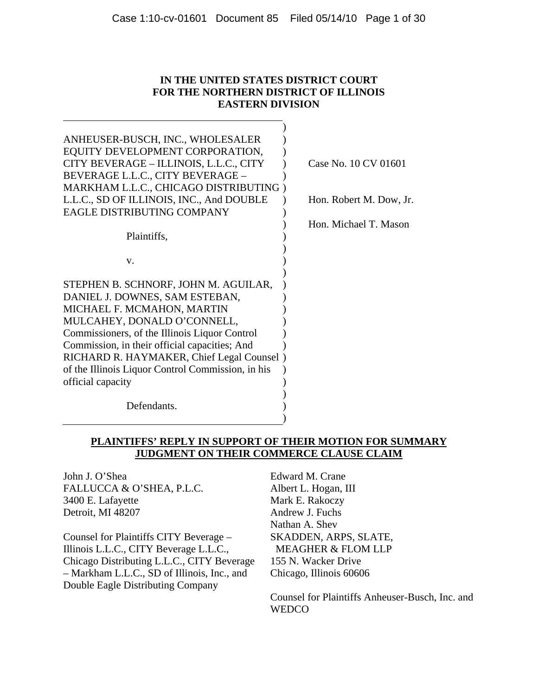### **IN THE UNITED STATES DISTRICT COURT FOR THE NORTHERN DISTRICT OF ILLINOIS EASTERN DIVISION**

| ANHEUSER-BUSCH, INC., WHOLESALER                  |         |
|---------------------------------------------------|---------|
| EQUITY DEVELOPMENT CORPORATION,                   |         |
| CITY BEVERAGE - ILLINOIS, L.L.C., CITY            | Case No |
| BEVERAGE L.L.C., CITY BEVERAGE -                  |         |
| MARKHAM L.L.C., CHICAGO DISTRIBUTING              |         |
| L.L.C., SD OF ILLINOIS, INC., And DOUBLE          | Hon. Ro |
| <b>EAGLE DISTRIBUTING COMPANY</b>                 |         |
|                                                   | Hon. Mi |
| Plaintiffs,                                       |         |
|                                                   |         |
| v.                                                |         |
|                                                   |         |
| STEPHEN B. SCHNORF, JOHN M. AGUILAR,              |         |
| DANIEL J. DOWNES, SAM ESTEBAN,                    |         |
| MICHAEL F. MCMAHON, MARTIN                        |         |
| MULCAHEY, DONALD O'CONNELL,                       |         |
| Commissioners, of the Illinois Liquor Control     |         |
| Commission, in their official capacities; And     |         |
| RICHARD R. HAYMAKER, Chief Legal Counsel)         |         |
| of the Illinois Liquor Control Commission, in his |         |
| official capacity                                 |         |
|                                                   |         |
| Defendants.                                       |         |
|                                                   |         |
|                                                   |         |

0. 10 CV 01601

bert M. Dow, Jr.

ichael T. Mason

### **PLAINTIFFS' REPLY IN SUPPORT OF THEIR MOTION FOR SUMMARY JUDGMENT ON THEIR COMMERCE CLAUSE CLAIM**

John J. O'Shea FALLUCCA & O'SHEA, P.L.C. 3400 E. Lafayette Detroit, MI 48207

Counsel for Plaintiffs CITY Beverage – Illinois L.L.C., CITY Beverage L.L.C., Chicago Distributing L.L.C., CITY Beverage – Markham L.L.C., SD of Illinois, Inc., and Double Eagle Distributing Company

Edward M. Crane Albert L. Hogan, III Mark E. Rakoczy Andrew J. Fuchs Nathan A. Shev SKADDEN, ARPS, SLATE, MEAGHER & FLOM LLP 155 N. Wacker Drive Chicago, Illinois 60606

Counsel for Plaintiffs Anheuser-Busch, Inc. and **WEDCO**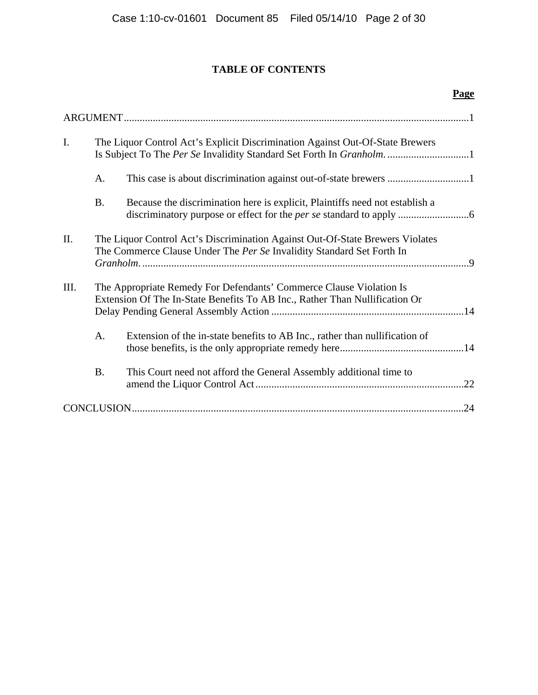# **TABLE OF CONTENTS**

|      |                                                                                                                                                      |                                                                                                                                                        | Page |
|------|------------------------------------------------------------------------------------------------------------------------------------------------------|--------------------------------------------------------------------------------------------------------------------------------------------------------|------|
|      |                                                                                                                                                      |                                                                                                                                                        |      |
| I.   | The Liquor Control Act's Explicit Discrimination Against Out-Of-State Brewers<br>Is Subject To The Per Se Invalidity Standard Set Forth In Granholm1 |                                                                                                                                                        |      |
|      | A.                                                                                                                                                   |                                                                                                                                                        |      |
|      | <b>B.</b>                                                                                                                                            | Because the discrimination here is explicit, Plaintiffs need not establish a                                                                           |      |
| Π.   |                                                                                                                                                      | The Liquor Control Act's Discrimination Against Out-Of-State Brewers Violates<br>The Commerce Clause Under The Per Se Invalidity Standard Set Forth In |      |
| III. |                                                                                                                                                      | The Appropriate Remedy For Defendants' Commerce Clause Violation Is<br>Extension Of The In-State Benefits To AB Inc., Rather Than Nullification Or     |      |
|      | A.                                                                                                                                                   | Extension of the in-state benefits to AB Inc., rather than nullification of                                                                            |      |
|      | <b>B.</b>                                                                                                                                            | This Court need not afford the General Assembly additional time to                                                                                     | .22  |
|      |                                                                                                                                                      |                                                                                                                                                        | .24  |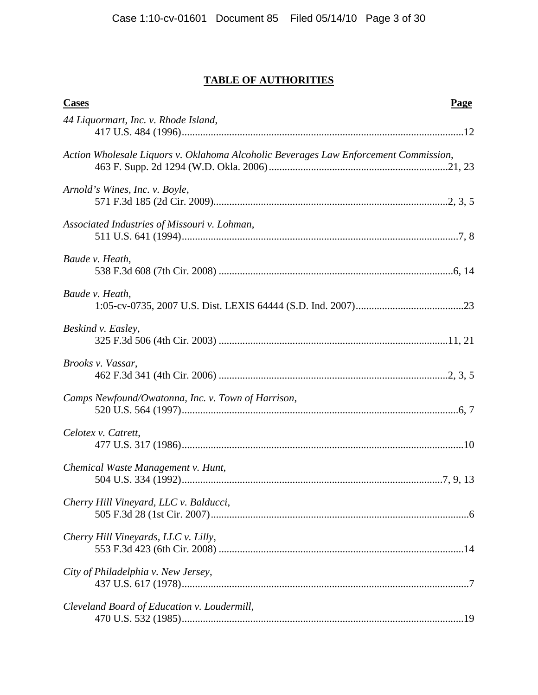# **TABLE OF AUTHORITIES**

| <b>Cases</b><br>Page                                                                 |
|--------------------------------------------------------------------------------------|
| 44 Liquormart, Inc. v. Rhode Island,                                                 |
| Action Wholesale Liquors v. Oklahoma Alcoholic Beverages Law Enforcement Commission, |
| Arnold's Wines, Inc. v. Boyle,                                                       |
| Associated Industries of Missouri v. Lohman,                                         |
| Baude v. Heath,                                                                      |
| Baude v. Heath,                                                                      |
| Beskind v. Easley,                                                                   |
| Brooks v. Vassar,                                                                    |
| Camps Newfound/Owatonna, Inc. v. Town of Harrison,                                   |
| Celotex v. Catrett,                                                                  |
| Chemical Waste Management v. Hunt,                                                   |
| Cherry Hill Vineyard, LLC v. Balducci,                                               |
| Cherry Hill Vineyards, LLC v. Lilly,                                                 |
| City of Philadelphia v. New Jersey,                                                  |
| Cleveland Board of Education v. Loudermill,                                          |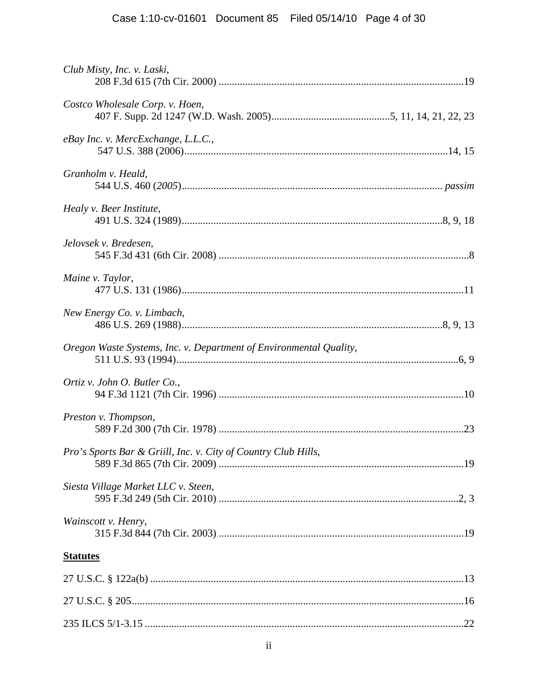| Club Misty, Inc. v. Laski,                                         |  |
|--------------------------------------------------------------------|--|
| Costco Wholesale Corp. v. Hoen,                                    |  |
| eBay Inc. v. MercExchange, L.L.C.,                                 |  |
| Granholm v. Heald,                                                 |  |
| Healy v. Beer Institute,                                           |  |
| Jelovsek v. Bredesen,                                              |  |
| Maine v. Taylor,                                                   |  |
| New Energy Co. v. Limbach,                                         |  |
| Oregon Waste Systems, Inc. v. Department of Environmental Quality, |  |
| Ortiz v. John O. Butler Co.,                                       |  |
| Preston v. Thompson,                                               |  |
| Pro's Sports Bar & Griill, Inc. v. City of Country Club Hills,     |  |
| Siesta Village Market LLC v. Steen,                                |  |
| Wainscott v. Henry,                                                |  |
| <b>Statutes</b>                                                    |  |
|                                                                    |  |
|                                                                    |  |
|                                                                    |  |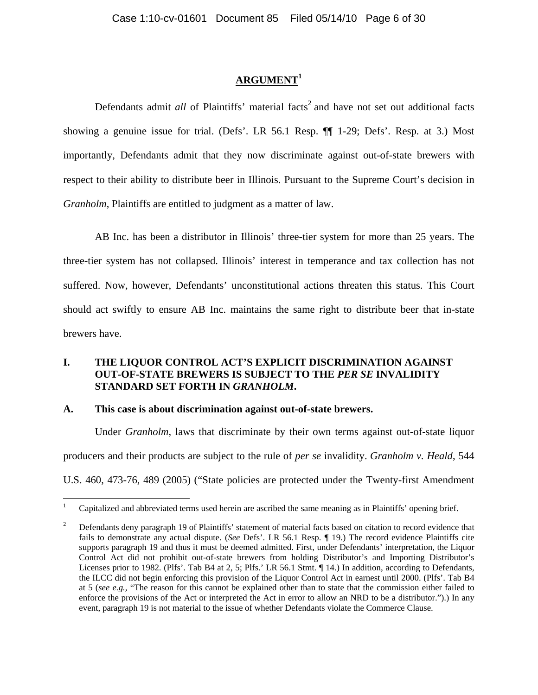## **ARGUMENT<sup>1</sup>**

Defendants admit *all* of Plaintiffs' material facts<sup>2</sup> and have not set out additional facts showing a genuine issue for trial. (Defs'. LR 56.1 Resp. ¶¶ 1-29; Defs'. Resp. at 3.) Most importantly, Defendants admit that they now discriminate against out-of-state brewers with respect to their ability to distribute beer in Illinois. Pursuant to the Supreme Court's decision in *Granholm*, Plaintiffs are entitled to judgment as a matter of law.

AB Inc. has been a distributor in Illinois' three-tier system for more than 25 years. The three-tier system has not collapsed. Illinois' interest in temperance and tax collection has not suffered. Now, however, Defendants' unconstitutional actions threaten this status. This Court should act swiftly to ensure AB Inc. maintains the same right to distribute beer that in-state brewers have.

### **I. THE LIQUOR CONTROL ACT'S EXPLICIT DISCRIMINATION AGAINST OUT-OF-STATE BREWERS IS SUBJECT TO THE** *PER SE* **INVALIDITY STANDARD SET FORTH IN** *GRANHOLM***.**

#### **A. This case is about discrimination against out-of-state brewers.**

 $\overline{a}$ 

Under *Granholm*, laws that discriminate by their own terms against out-of-state liquor producers and their products are subject to the rule of *per se* invalidity. *Granholm v. Heald*, 544 U.S. 460, 473-76, 489 (2005) ("State policies are protected under the Twenty-first Amendment

<sup>1</sup> Capitalized and abbreviated terms used herein are ascribed the same meaning as in Plaintiffs' opening brief.

<sup>2</sup> Defendants deny paragraph 19 of Plaintiffs' statement of material facts based on citation to record evidence that fails to demonstrate any actual dispute. (*See* Defs'. LR 56.1 Resp. ¶ 19.) The record evidence Plaintiffs cite supports paragraph 19 and thus it must be deemed admitted. First, under Defendants' interpretation, the Liquor Control Act did not prohibit out-of-state brewers from holding Distributor's and Importing Distributor's Licenses prior to 1982. (Plfs'. Tab B4 at 2, 5; Plfs.' LR 56.1 Stmt. ¶ 14.) In addition, according to Defendants, the ILCC did not begin enforcing this provision of the Liquor Control Act in earnest until 2000. (Plfs'. Tab B4 at 5 (*see e.g.,* "The reason for this cannot be explained other than to state that the commission either failed to enforce the provisions of the Act or interpreted the Act in error to allow an NRD to be a distributor.").) In any event, paragraph 19 is not material to the issue of whether Defendants violate the Commerce Clause.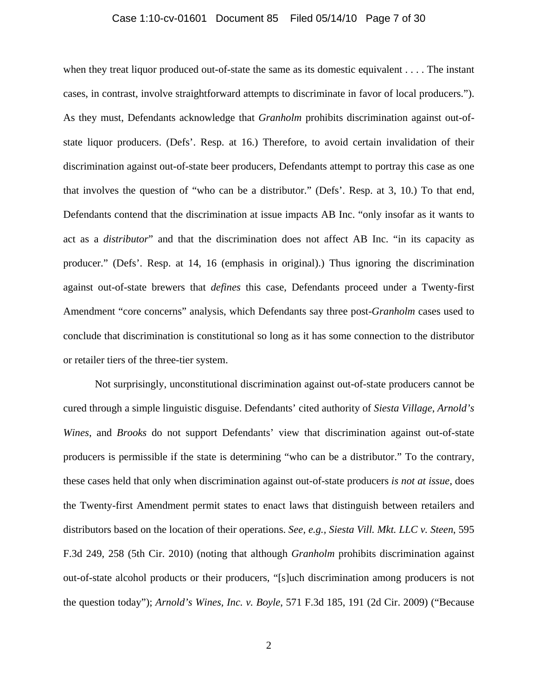#### Case 1:10-cv-01601 Document 85 Filed 05/14/10 Page 7 of 30

when they treat liquor produced out-of-state the same as its domestic equivalent . . . . The instant cases, in contrast, involve straightforward attempts to discriminate in favor of local producers."). As they must, Defendants acknowledge that *Granholm* prohibits discrimination against out-ofstate liquor producers. (Defs'. Resp. at 16.) Therefore, to avoid certain invalidation of their discrimination against out-of-state beer producers, Defendants attempt to portray this case as one that involves the question of "who can be a distributor." (Defs'. Resp. at 3, 10.) To that end, Defendants contend that the discrimination at issue impacts AB Inc. "only insofar as it wants to act as a *distributor*" and that the discrimination does not affect AB Inc. "in its capacity as producer." (Defs'. Resp. at 14, 16 (emphasis in original).) Thus ignoring the discrimination against out-of-state brewers that *defines* this case, Defendants proceed under a Twenty-first Amendment "core concerns" analysis, which Defendants say three post-*Granholm* cases used to conclude that discrimination is constitutional so long as it has some connection to the distributor or retailer tiers of the three-tier system.

Not surprisingly, unconstitutional discrimination against out-of-state producers cannot be cured through a simple linguistic disguise. Defendants' cited authority of *Siesta Village*, *Arnold's Wines*, and *Brooks* do not support Defendants' view that discrimination against out-of-state producers is permissible if the state is determining "who can be a distributor." To the contrary, these cases held that only when discrimination against out-of-state producers *is not at issue*, does the Twenty-first Amendment permit states to enact laws that distinguish between retailers and distributors based on the location of their operations. *See, e.g., Siesta Vill. Mkt. LLC v. Steen*, 595 F.3d 249, 258 (5th Cir. 2010) (noting that although *Granholm* prohibits discrimination against out-of-state alcohol products or their producers, "[s]uch discrimination among producers is not the question today"); *Arnold's Wines, Inc. v. Boyle*, 571 F.3d 185, 191 (2d Cir. 2009) ("Because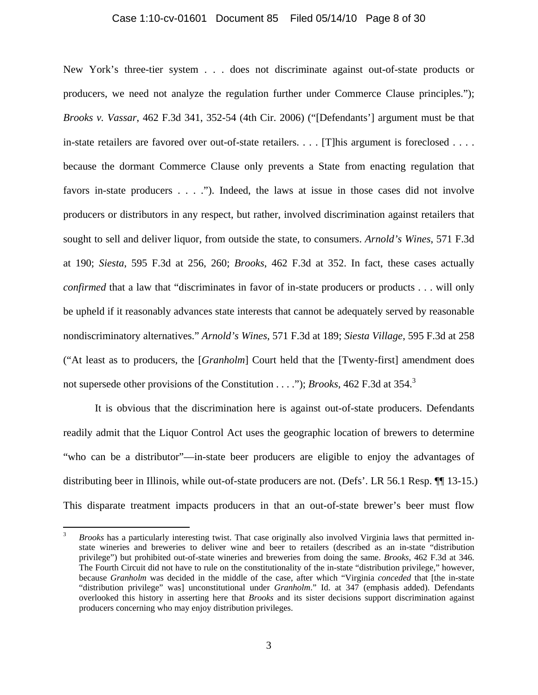#### Case 1:10-cv-01601 Document 85 Filed 05/14/10 Page 8 of 30

New York's three-tier system . . . does not discriminate against out-of-state products or producers, we need not analyze the regulation further under Commerce Clause principles."); *Brooks v. Vassar*, 462 F.3d 341, 352-54 (4th Cir. 2006) ("[Defendants'] argument must be that in-state retailers are favored over out-of-state retailers. . . . [T]his argument is foreclosed . . . . because the dormant Commerce Clause only prevents a State from enacting regulation that favors in-state producers . . . ."). Indeed, the laws at issue in those cases did not involve producers or distributors in any respect, but rather, involved discrimination against retailers that sought to sell and deliver liquor, from outside the state, to consumers. *Arnold's Wines*, 571 F.3d at 190; *Siesta*, 595 F.3d at 256, 260; *Brooks*, 462 F.3d at 352. In fact, these cases actually *confirmed* that a law that "discriminates in favor of in-state producers or products . . . will only be upheld if it reasonably advances state interests that cannot be adequately served by reasonable nondiscriminatory alternatives." *Arnold's Wines*, 571 F.3d at 189; *Siesta Village*, 595 F.3d at 258 ("At least as to producers, the [*Granholm*] Court held that the [Twenty-first] amendment does not supersede other provisions of the Constitution . . . ."); *Brooks*, 462 F.3d at 354.<sup>3</sup>

It is obvious that the discrimination here is against out-of-state producers. Defendants readily admit that the Liquor Control Act uses the geographic location of brewers to determine "who can be a distributor"—in-state beer producers are eligible to enjoy the advantages of distributing beer in Illinois, while out-of-state producers are not. (Defs'. LR 56.1 Resp. ¶¶ 13-15.) This disparate treatment impacts producers in that an out-of-state brewer's beer must flow

<u>.</u>

<sup>3</sup> *Brooks* has a particularly interesting twist. That case originally also involved Virginia laws that permitted instate wineries and breweries to deliver wine and beer to retailers (described as an in-state "distribution privilege") but prohibited out-of-state wineries and breweries from doing the same. *Brooks*, 462 F.3d at 346. The Fourth Circuit did not have to rule on the constitutionality of the in-state "distribution privilege," however, because *Granholm* was decided in the middle of the case, after which "Virginia *conceded* that [the in-state "distribution privilege" was] unconstitutional under *Granholm*." Id. at 347 (emphasis added). Defendants overlooked this history in asserting here that *Brooks* and its sister decisions support discrimination against producers concerning who may enjoy distribution privileges.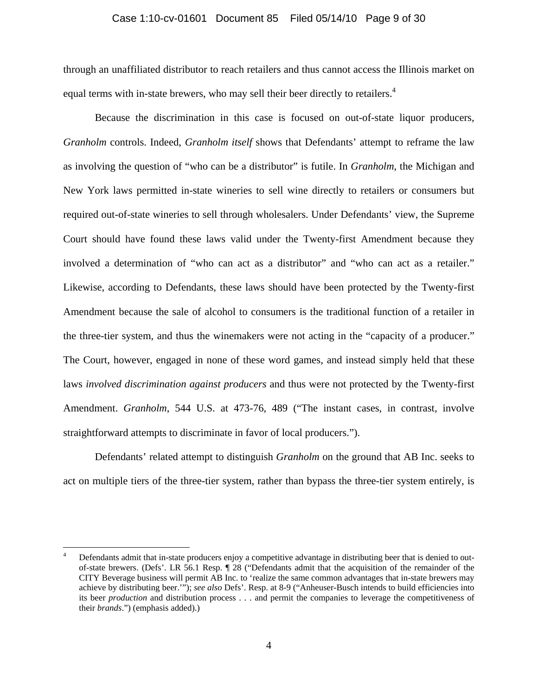#### Case 1:10-cv-01601 Document 85 Filed 05/14/10 Page 9 of 30

through an unaffiliated distributor to reach retailers and thus cannot access the Illinois market on equal terms with in-state brewers, who may sell their beer directly to retailers.<sup>4</sup>

Because the discrimination in this case is focused on out-of-state liquor producers, *Granholm* controls. Indeed, *Granholm itself* shows that Defendants' attempt to reframe the law as involving the question of "who can be a distributor" is futile. In *Granholm*, the Michigan and New York laws permitted in-state wineries to sell wine directly to retailers or consumers but required out-of-state wineries to sell through wholesalers. Under Defendants' view, the Supreme Court should have found these laws valid under the Twenty-first Amendment because they involved a determination of "who can act as a distributor" and "who can act as a retailer." Likewise, according to Defendants, these laws should have been protected by the Twenty-first Amendment because the sale of alcohol to consumers is the traditional function of a retailer in the three-tier system, and thus the winemakers were not acting in the "capacity of a producer." The Court, however, engaged in none of these word games, and instead simply held that these laws *involved discrimination against producers* and thus were not protected by the Twenty-first Amendment. *Granholm*, 544 U.S. at 473-76, 489 ("The instant cases, in contrast, involve straightforward attempts to discriminate in favor of local producers.").

Defendants' related attempt to distinguish *Granholm* on the ground that AB Inc. seeks to act on multiple tiers of the three-tier system, rather than bypass the three-tier system entirely, is

<sup>4</sup> Defendants admit that in-state producers enjoy a competitive advantage in distributing beer that is denied to outof-state brewers. (Defs'. LR 56.1 Resp. ¶ 28 ("Defendants admit that the acquisition of the remainder of the CITY Beverage business will permit AB Inc. to 'realize the same common advantages that in-state brewers may achieve by distributing beer.'"); *see also* Defs'. Resp. at 8-9 ("Anheuser-Busch intends to build efficiencies into its beer *production* and distribution process . . . and permit the companies to leverage the competitiveness of their *brands*.") (emphasis added).)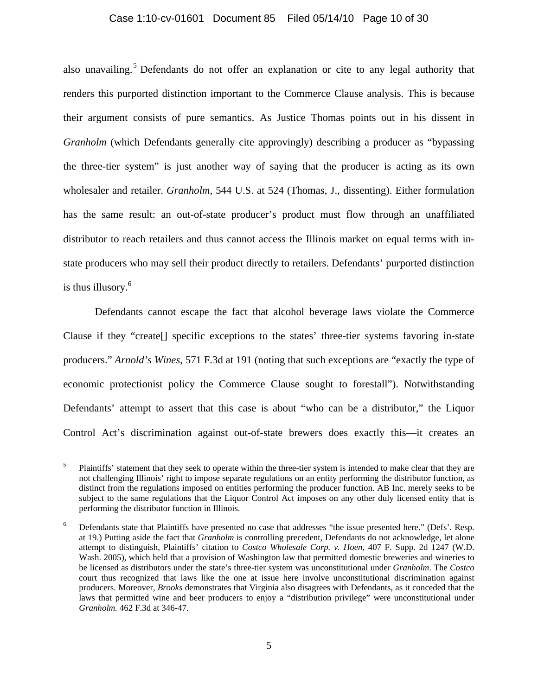### Case 1:10-cv-01601 Document 85 Filed 05/14/10 Page 10 of 30

also unavailing.<sup>5</sup> Defendants do not offer an explanation or cite to any legal authority that renders this purported distinction important to the Commerce Clause analysis. This is because their argument consists of pure semantics. As Justice Thomas points out in his dissent in *Granholm* (which Defendants generally cite approvingly) describing a producer as "bypassing the three-tier system" is just another way of saying that the producer is acting as its own wholesaler and retailer. *Granholm*, 544 U.S. at 524 (Thomas, J., dissenting). Either formulation has the same result: an out-of-state producer's product must flow through an unaffiliated distributor to reach retailers and thus cannot access the Illinois market on equal terms with instate producers who may sell their product directly to retailers. Defendants' purported distinction is thus illusory.<sup>6</sup>

Defendants cannot escape the fact that alcohol beverage laws violate the Commerce Clause if they "create[] specific exceptions to the states' three-tier systems favoring in-state producers." *Arnold's Wines*, 571 F.3d at 191 (noting that such exceptions are "exactly the type of economic protectionist policy the Commerce Clause sought to forestall"). Notwithstanding Defendants' attempt to assert that this case is about "who can be a distributor," the Liquor Control Act's discrimination against out-of-state brewers does exactly this—it creates an

<sup>5</sup> Plaintiffs' statement that they seek to operate within the three-tier system is intended to make clear that they are not challenging Illinois' right to impose separate regulations on an entity performing the distributor function, as distinct from the regulations imposed on entities performing the producer function. AB Inc. merely seeks to be subject to the same regulations that the Liquor Control Act imposes on any other duly licensed entity that is performing the distributor function in Illinois.

<sup>6</sup> Defendants state that Plaintiffs have presented no case that addresses "the issue presented here." (Defs'. Resp. at 19.) Putting aside the fact that *Granholm* is controlling precedent, Defendants do not acknowledge, let alone attempt to distinguish, Plaintiffs' citation to *Costco Wholesale Corp. v. Hoen,* 407 F. Supp. 2d 1247 (W.D. Wash. 2005), which held that a provision of Washington law that permitted domestic breweries and wineries to be licensed as distributors under the state's three-tier system was unconstitutional under *Granholm*. The *Costco* court thus recognized that laws like the one at issue here involve unconstitutional discrimination against producers. Moreover, *Brooks* demonstrates that Virginia also disagrees with Defendants, as it conceded that the laws that permitted wine and beer producers to enjoy a "distribution privilege" were unconstitutional under *Granholm.* 462 F.3d at 346-47.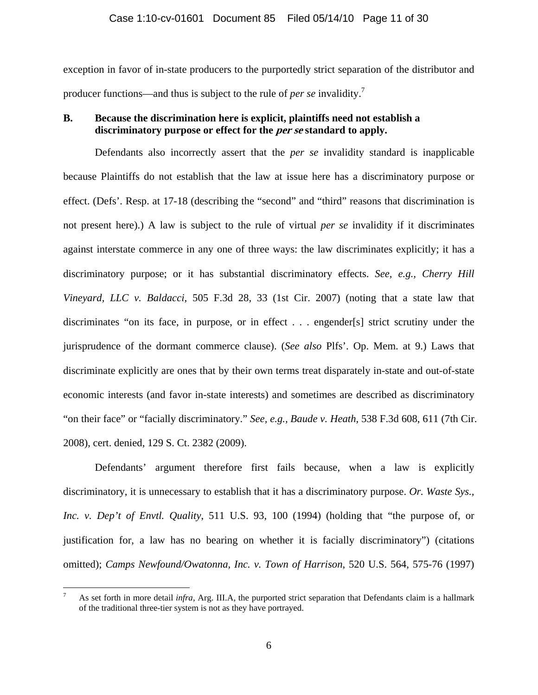exception in favor of in-state producers to the purportedly strict separation of the distributor and producer functions—and thus is subject to the rule of *per se* invalidity.<sup>7</sup>

### **B. Because the discrimination here is explicit, plaintiffs need not establish a discriminatory purpose or effect for the per se standard to apply.**

Defendants also incorrectly assert that the *per se* invalidity standard is inapplicable because Plaintiffs do not establish that the law at issue here has a discriminatory purpose or effect. (Defs'. Resp. at 17-18 (describing the "second" and "third" reasons that discrimination is not present here).) A law is subject to the rule of virtual *per se* invalidity if it discriminates against interstate commerce in any one of three ways: the law discriminates explicitly; it has a discriminatory purpose; or it has substantial discriminatory effects. *See, e.g., Cherry Hill Vineyard, LLC v. Baldacci*, 505 F.3d 28, 33 (1st Cir. 2007) (noting that a state law that discriminates "on its face, in purpose, or in effect . . . engender[s] strict scrutiny under the jurisprudence of the dormant commerce clause). (*See also* Plfs'. Op. Mem. at 9.) Laws that discriminate explicitly are ones that by their own terms treat disparately in-state and out-of-state economic interests (and favor in-state interests) and sometimes are described as discriminatory "on their face" or "facially discriminatory." *See, e.g., Baude v. Heath*, 538 F.3d 608, 611 (7th Cir. 2008), cert. denied, 129 S. Ct. 2382 (2009).

Defendants' argument therefore first fails because, when a law is explicitly discriminatory, it is unnecessary to establish that it has a discriminatory purpose. *Or. Waste Sys., Inc. v. Dep't of Envtl. Quality*, 511 U.S. 93, 100 (1994) (holding that "the purpose of, or justification for, a law has no bearing on whether it is facially discriminatory") (citations omitted); *Camps Newfound/Owatonna, Inc. v. Town of Harrison*, 520 U.S. 564, 575-76 (1997)

<u>.</u>

<sup>7</sup> As set forth in more detail *infra*, Arg. III.A, the purported strict separation that Defendants claim is a hallmark of the traditional three-tier system is not as they have portrayed.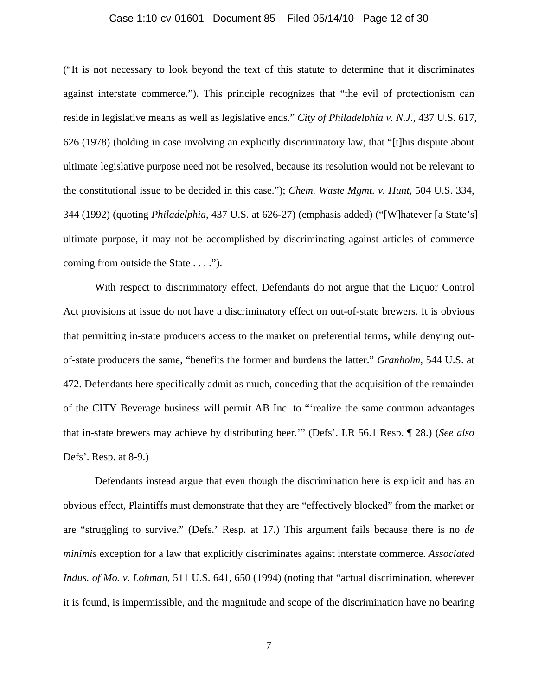#### Case 1:10-cv-01601 Document 85 Filed 05/14/10 Page 12 of 30

("It is not necessary to look beyond the text of this statute to determine that it discriminates against interstate commerce."). This principle recognizes that "the evil of protectionism can reside in legislative means as well as legislative ends." *City of Philadelphia v. N.J.*, 437 U.S. 617, 626 (1978) (holding in case involving an explicitly discriminatory law, that "[t]his dispute about ultimate legislative purpose need not be resolved, because its resolution would not be relevant to the constitutional issue to be decided in this case."); *Chem. Waste Mgmt. v. Hunt*, 504 U.S. 334, 344 (1992) (quoting *Philadelphia*, 437 U.S. at 626-27) (emphasis added) ("[W]hatever [a State's] ultimate purpose, it may not be accomplished by discriminating against articles of commerce coming from outside the State . . . .").

With respect to discriminatory effect, Defendants do not argue that the Liquor Control Act provisions at issue do not have a discriminatory effect on out-of-state brewers. It is obvious that permitting in-state producers access to the market on preferential terms, while denying outof-state producers the same, "benefits the former and burdens the latter." *Granholm*, 544 U.S. at 472. Defendants here specifically admit as much, conceding that the acquisition of the remainder of the CITY Beverage business will permit AB Inc. to "'realize the same common advantages that in-state brewers may achieve by distributing beer.'" (Defs'. LR 56.1 Resp. ¶ 28.) (*See also*  Defs'. Resp. at 8-9.)

Defendants instead argue that even though the discrimination here is explicit and has an obvious effect, Plaintiffs must demonstrate that they are "effectively blocked" from the market or are "struggling to survive." (Defs.' Resp. at 17.) This argument fails because there is no *de minimis* exception for a law that explicitly discriminates against interstate commerce. *Associated Indus. of Mo. v. Lohman*, 511 U.S. 641, 650 (1994) (noting that "actual discrimination, wherever it is found, is impermissible, and the magnitude and scope of the discrimination have no bearing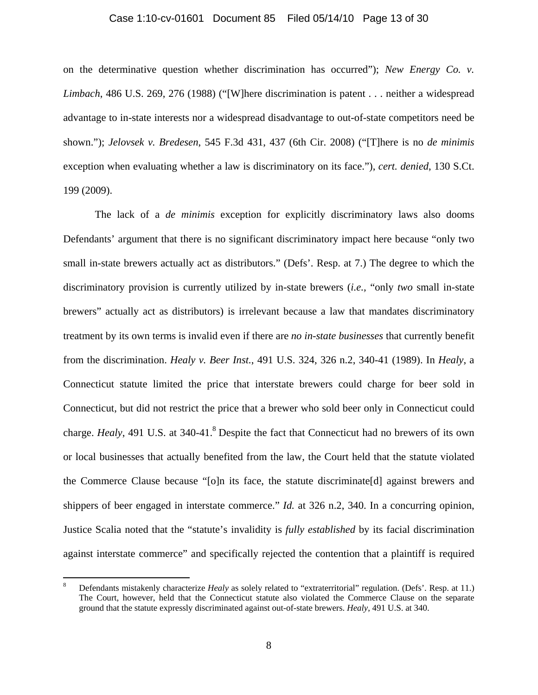#### Case 1:10-cv-01601 Document 85 Filed 05/14/10 Page 13 of 30

on the determinative question whether discrimination has occurred"); *New Energy Co. v. Limbach*, 486 U.S. 269, 276 (1988) ("[W]here discrimination is patent . . . neither a widespread advantage to in-state interests nor a widespread disadvantage to out-of-state competitors need be shown."); *Jelovsek v. Bredesen*, 545 F.3d 431, 437 (6th Cir. 2008) ("[T]here is no *de minimis* exception when evaluating whether a law is discriminatory on its face."), *cert. denied*, 130 S.Ct. 199 (2009).

The lack of a *de minimis* exception for explicitly discriminatory laws also dooms Defendants' argument that there is no significant discriminatory impact here because "only two small in-state brewers actually act as distributors." (Defs'. Resp. at 7.) The degree to which the discriminatory provision is currently utilized by in-state brewers (*i.e.,* "only *two* small in-state brewers" actually act as distributors) is irrelevant because a law that mandates discriminatory treatment by its own terms is invalid even if there are *no in-state businesses* that currently benefit from the discrimination. *Healy v. Beer Inst.*, 491 U.S. 324, 326 n.2, 340-41 (1989). In *Healy*, a Connecticut statute limited the price that interstate brewers could charge for beer sold in Connecticut, but did not restrict the price that a brewer who sold beer only in Connecticut could charge. *Healy*, 491 U.S. at 340-41.<sup>8</sup> Despite the fact that Connecticut had no brewers of its own or local businesses that actually benefited from the law, the Court held that the statute violated the Commerce Clause because "[o]n its face, the statute discriminate[d] against brewers and shippers of beer engaged in interstate commerce." *Id.* at 326 n.2, 340. In a concurring opinion, Justice Scalia noted that the "statute's invalidity is *fully established* by its facial discrimination against interstate commerce" and specifically rejected the contention that a plaintiff is required

1

<sup>8</sup> Defendants mistakenly characterize *Healy* as solely related to "extraterritorial" regulation. (Defs'. Resp. at 11.) The Court, however, held that the Connecticut statute also violated the Commerce Clause on the separate ground that the statute expressly discriminated against out-of-state brewers. *Healy*, 491 U.S. at 340.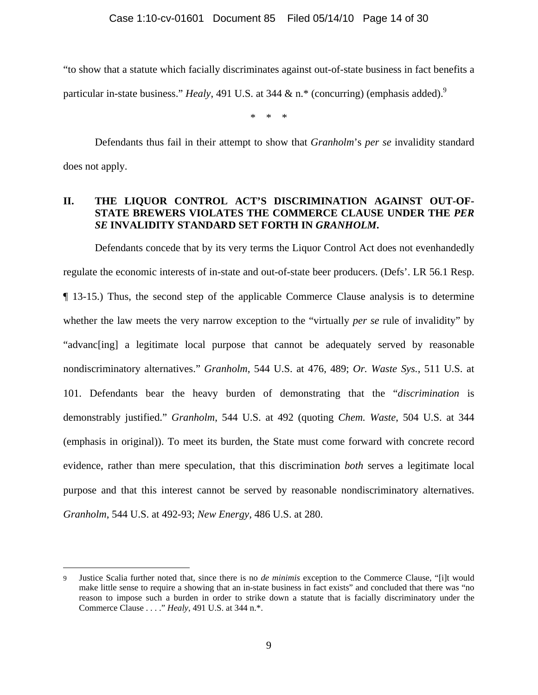"to show that a statute which facially discriminates against out-of-state business in fact benefits a particular in-state business." *Healy*, 491 U.S. at 344 & n.<sup>\*</sup> (concurring) (emphasis added).<sup>9</sup>

\* \* \*

 Defendants thus fail in their attempt to show that *Granholm*'s *per se* invalidity standard does not apply.

### **II. THE LIQUOR CONTROL ACT'S DISCRIMINATION AGAINST OUT-OF-STATE BREWERS VIOLATES THE COMMERCE CLAUSE UNDER THE** *PER SE* **INVALIDITY STANDARD SET FORTH IN** *GRANHOLM***.**

Defendants concede that by its very terms the Liquor Control Act does not evenhandedly regulate the economic interests of in-state and out-of-state beer producers. (Defs'. LR 56.1 Resp. ¶ 13-15.) Thus, the second step of the applicable Commerce Clause analysis is to determine whether the law meets the very narrow exception to the "virtually *per se* rule of invalidity" by "advanc[ing] a legitimate local purpose that cannot be adequately served by reasonable nondiscriminatory alternatives." *Granholm*, 544 U.S. at 476, 489; *Or. Waste Sys.*, 511 U.S. at 101. Defendants bear the heavy burden of demonstrating that the "*discrimination* is demonstrably justified." *Granholm*, 544 U.S. at 492 (quoting *Chem. Waste*, 504 U.S. at 344 (emphasis in original)). To meet its burden, the State must come forward with concrete record evidence, rather than mere speculation, that this discrimination *both* serves a legitimate local purpose and that this interest cannot be served by reasonable nondiscriminatory alternatives. *Granholm*, 544 U.S. at 492-93; *New Energy,* 486 U.S. at 280.

<sup>9</sup> Justice Scalia further noted that, since there is no *de minimis* exception to the Commerce Clause, "[i]t would make little sense to require a showing that an in-state business in fact exists" and concluded that there was "no reason to impose such a burden in order to strike down a statute that is facially discriminatory under the Commerce Clause . . . ." *Healy*, 491 U.S. at 344 n.\*.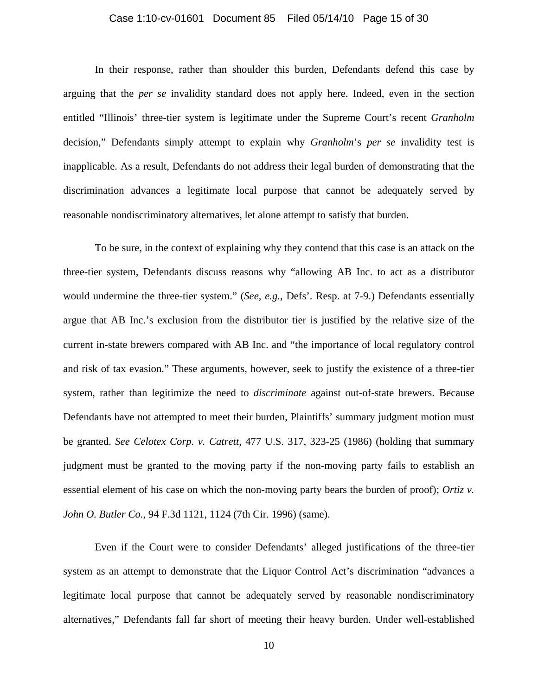#### Case 1:10-cv-01601 Document 85 Filed 05/14/10 Page 15 of 30

In their response, rather than shoulder this burden, Defendants defend this case by arguing that the *per se* invalidity standard does not apply here. Indeed, even in the section entitled "Illinois' three-tier system is legitimate under the Supreme Court's recent *Granholm*  decision," Defendants simply attempt to explain why *Granholm*'s *per se* invalidity test is inapplicable. As a result, Defendants do not address their legal burden of demonstrating that the discrimination advances a legitimate local purpose that cannot be adequately served by reasonable nondiscriminatory alternatives, let alone attempt to satisfy that burden.

To be sure, in the context of explaining why they contend that this case is an attack on the three-tier system, Defendants discuss reasons why "allowing AB Inc. to act as a distributor would undermine the three-tier system." (*See, e.g.,* Defs'. Resp. at 7-9.) Defendants essentially argue that AB Inc.'s exclusion from the distributor tier is justified by the relative size of the current in-state brewers compared with AB Inc. and "the importance of local regulatory control and risk of tax evasion." These arguments, however, seek to justify the existence of a three-tier system, rather than legitimize the need to *discriminate* against out-of-state brewers. Because Defendants have not attempted to meet their burden, Plaintiffs' summary judgment motion must be granted. *See Celotex Corp. v. Catrett*, 477 U.S. 317, 323-25 (1986) (holding that summary judgment must be granted to the moving party if the non-moving party fails to establish an essential element of his case on which the non-moving party bears the burden of proof); *Ortiz v. John O. Butler Co.*, 94 F.3d 1121, 1124 (7th Cir. 1996) (same).

Even if the Court were to consider Defendants' alleged justifications of the three-tier system as an attempt to demonstrate that the Liquor Control Act's discrimination "advances a legitimate local purpose that cannot be adequately served by reasonable nondiscriminatory alternatives," Defendants fall far short of meeting their heavy burden. Under well-established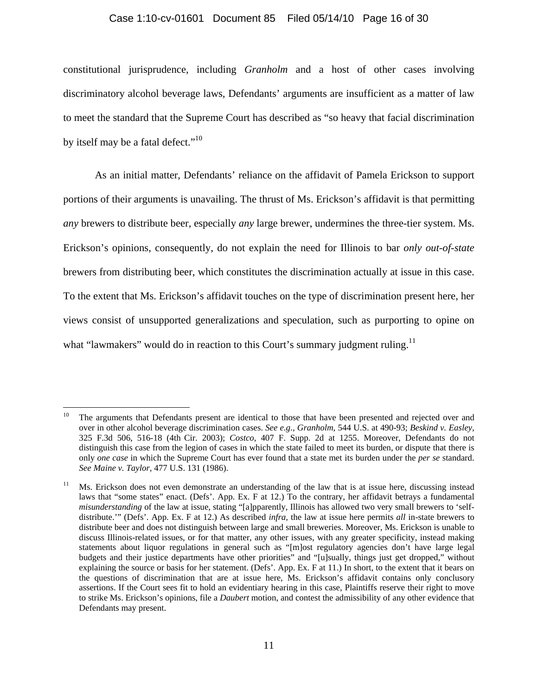#### Case 1:10-cv-01601 Document 85 Filed 05/14/10 Page 16 of 30

constitutional jurisprudence, including *Granholm* and a host of other cases involving discriminatory alcohol beverage laws, Defendants' arguments are insufficient as a matter of law to meet the standard that the Supreme Court has described as "so heavy that facial discrimination by itself may be a fatal defect."<sup>10</sup>

As an initial matter, Defendants' reliance on the affidavit of Pamela Erickson to support portions of their arguments is unavailing. The thrust of Ms. Erickson's affidavit is that permitting *any* brewers to distribute beer, especially *any* large brewer, undermines the three-tier system. Ms. Erickson's opinions, consequently, do not explain the need for Illinois to bar *only out-of-state* brewers from distributing beer, which constitutes the discrimination actually at issue in this case. To the extent that Ms. Erickson's affidavit touches on the type of discrimination present here, her views consist of unsupported generalizations and speculation, such as purporting to opine on what "lawmakers" would do in reaction to this Court's summary judgment ruling.<sup>11</sup>

1

The arguments that Defendants present are identical to those that have been presented and rejected over and over in other alcohol beverage discrimination cases. *See e.g., Granholm*, 544 U.S. at 490-93; *Beskind v. Easley*, 325 F.3d 506, 516-18 (4th Cir. 2003); *Costco*, 407 F. Supp. 2d at 1255. Moreover, Defendants do not distinguish this case from the legion of cases in which the state failed to meet its burden, or dispute that there is only *one case* in which the Supreme Court has ever found that a state met its burden under the *per se* standard. *See Maine v. Taylor*, 477 U.S. 131 (1986).

<sup>11</sup> Ms. Erickson does not even demonstrate an understanding of the law that is at issue here, discussing instead laws that "some states" enact. (Defs'. App. Ex. F at 12.) To the contrary, her affidavit betrays a fundamental *misunderstanding* of the law at issue, stating "[a]pparently, Illinois has allowed two very small brewers to 'selfdistribute.'" (Defs'. App. Ex. F at 12.) As described *infra*, the law at issue here permits *all* in-state brewers to distribute beer and does not distinguish between large and small breweries. Moreover, Ms. Erickson is unable to discuss Illinois-related issues, or for that matter, any other issues, with any greater specificity, instead making statements about liquor regulations in general such as "[m]ost regulatory agencies don't have large legal budgets and their justice departments have other priorities" and "[u]sually, things just get dropped," without explaining the source or basis for her statement. (Defs'. App. Ex. F at 11.) In short, to the extent that it bears on the questions of discrimination that are at issue here, Ms. Erickson's affidavit contains only conclusory assertions. If the Court sees fit to hold an evidentiary hearing in this case, Plaintiffs reserve their right to move to strike Ms. Erickson's opinions, file a *Daubert* motion, and contest the admissibility of any other evidence that Defendants may present.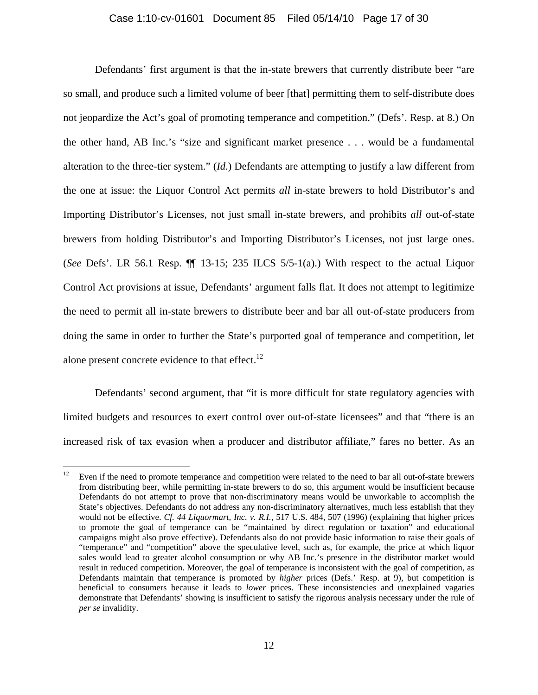#### Case 1:10-cv-01601 Document 85 Filed 05/14/10 Page 17 of 30

Defendants' first argument is that the in-state brewers that currently distribute beer "are so small, and produce such a limited volume of beer [that] permitting them to self-distribute does not jeopardize the Act's goal of promoting temperance and competition." (Defs'. Resp. at 8.) On the other hand, AB Inc.'s "size and significant market presence . . . would be a fundamental alteration to the three-tier system." (*Id*.) Defendants are attempting to justify a law different from the one at issue: the Liquor Control Act permits *all* in-state brewers to hold Distributor's and Importing Distributor's Licenses, not just small in-state brewers, and prohibits *all* out-of-state brewers from holding Distributor's and Importing Distributor's Licenses, not just large ones. (*See* Defs'. LR 56.1 Resp. ¶¶ 13-15; 235 ILCS 5/5-1(a).) With respect to the actual Liquor Control Act provisions at issue, Defendants' argument falls flat. It does not attempt to legitimize the need to permit all in-state brewers to distribute beer and bar all out-of-state producers from doing the same in order to further the State's purported goal of temperance and competition, let alone present concrete evidence to that effect. $^{12}$ 

Defendants' second argument, that "it is more difficult for state regulatory agencies with limited budgets and resources to exert control over out-of-state licensees" and that "there is an increased risk of tax evasion when a producer and distributor affiliate," fares no better. As an

 $12\,$ Even if the need to promote temperance and competition were related to the need to bar all out-of-state brewers from distributing beer, while permitting in-state brewers to do so, this argument would be insufficient because Defendants do not attempt to prove that non-discriminatory means would be unworkable to accomplish the State's objectives. Defendants do not address any non-discriminatory alternatives, much less establish that they would not be effective. *Cf. 44 Liquormart, Inc. v. R.I.*, 517 U.S. 484, 507 (1996) (explaining that higher prices to promote the goal of temperance can be "maintained by direct regulation or taxation" and educational campaigns might also prove effective). Defendants also do not provide basic information to raise their goals of "temperance" and "competition" above the speculative level, such as, for example, the price at which liquor sales would lead to greater alcohol consumption or why AB Inc.'s presence in the distributor market would result in reduced competition. Moreover, the goal of temperance is inconsistent with the goal of competition, as Defendants maintain that temperance is promoted by *higher* prices (Defs.' Resp. at 9), but competition is beneficial to consumers because it leads to *lower* prices. These inconsistencies and unexplained vagaries demonstrate that Defendants' showing is insufficient to satisfy the rigorous analysis necessary under the rule of *per se* invalidity.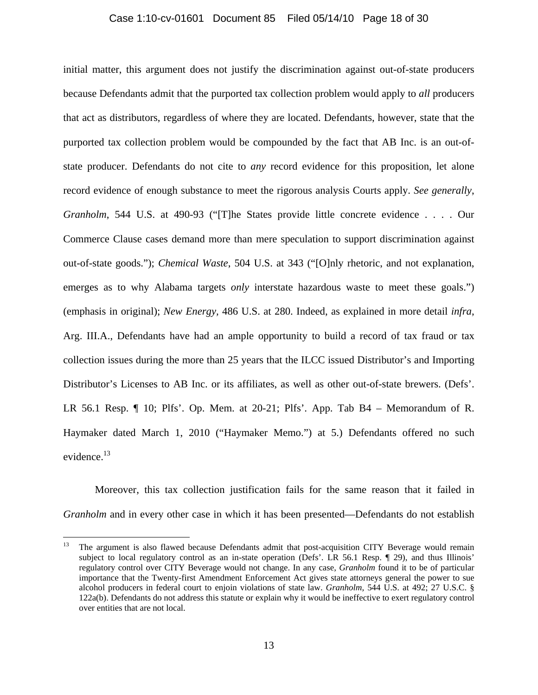#### Case 1:10-cv-01601 Document 85 Filed 05/14/10 Page 18 of 30

initial matter, this argument does not justify the discrimination against out-of-state producers because Defendants admit that the purported tax collection problem would apply to *all* producers that act as distributors, regardless of where they are located. Defendants, however, state that the purported tax collection problem would be compounded by the fact that AB Inc. is an out-ofstate producer. Defendants do not cite to *any* record evidence for this proposition, let alone record evidence of enough substance to meet the rigorous analysis Courts apply. *See generally*, *Granholm*, 544 U.S. at 490-93 ("[T]he States provide little concrete evidence . . . . Our Commerce Clause cases demand more than mere speculation to support discrimination against out-of-state goods."); *Chemical Waste*, 504 U.S. at 343 ("[O]nly rhetoric, and not explanation, emerges as to why Alabama targets *only* interstate hazardous waste to meet these goals.") (emphasis in original); *New Energy,* 486 U.S. at 280. Indeed, as explained in more detail *infra*, Arg. III.A., Defendants have had an ample opportunity to build a record of tax fraud or tax collection issues during the more than 25 years that the ILCC issued Distributor's and Importing Distributor's Licenses to AB Inc. or its affiliates, as well as other out-of-state brewers. (Defs'. LR 56.1 Resp. ¶ 10; Plfs'. Op. Mem. at 20-21; Plfs'. App. Tab B4 – Memorandum of R. Haymaker dated March 1, 2010 ("Haymaker Memo.") at 5.) Defendants offered no such evidence.<sup>13</sup>

Moreover, this tax collection justification fails for the same reason that it failed in *Granholm* and in every other case in which it has been presented—Defendants do not establish

<sup>13</sup> The argument is also flawed because Defendants admit that post-acquisition CITY Beverage would remain subject to local regulatory control as an in-state operation (Defs'. LR 56.1 Resp. 1 29), and thus Illinois' regulatory control over CITY Beverage would not change. In any case, *Granholm* found it to be of particular importance that the Twenty-first Amendment Enforcement Act gives state attorneys general the power to sue alcohol producers in federal court to enjoin violations of state law. *Granholm*, 544 U.S. at 492; 27 U.S.C. § 122a(b). Defendants do not address this statute or explain why it would be ineffective to exert regulatory control over entities that are not local.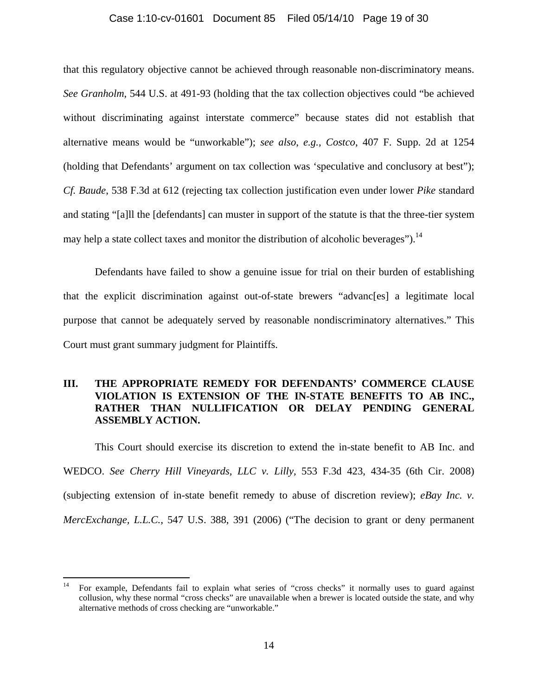#### Case 1:10-cv-01601 Document 85 Filed 05/14/10 Page 19 of 30

that this regulatory objective cannot be achieved through reasonable non-discriminatory means. *See Granholm*, 544 U.S. at 491-93 (holding that the tax collection objectives could "be achieved without discriminating against interstate commerce" because states did not establish that alternative means would be "unworkable"); *see also*, *e.g.*, *Costco*, 407 F. Supp. 2d at 1254 (holding that Defendants' argument on tax collection was 'speculative and conclusory at best"); *Cf. Baude*, 538 F.3d at 612 (rejecting tax collection justification even under lower *Pike* standard and stating "[a]ll the [defendants] can muster in support of the statute is that the three-tier system may help a state collect taxes and monitor the distribution of alcoholic beverages").  $14$ 

Defendants have failed to show a genuine issue for trial on their burden of establishing that the explicit discrimination against out-of-state brewers "advanc[es] a legitimate local purpose that cannot be adequately served by reasonable nondiscriminatory alternatives." This Court must grant summary judgment for Plaintiffs.

### **III. THE APPROPRIATE REMEDY FOR DEFENDANTS' COMMERCE CLAUSE VIOLATION IS EXTENSION OF THE IN-STATE BENEFITS TO AB INC., RATHER THAN NULLIFICATION OR DELAY PENDING GENERAL ASSEMBLY ACTION.**

This Court should exercise its discretion to extend the in-state benefit to AB Inc. and WEDCO. *See Cherry Hill Vineyards, LLC v. Lilly,* 553 F.3d 423, 434-35 (6th Cir. 2008) (subjecting extension of in-state benefit remedy to abuse of discretion review); *eBay Inc. v. MercExchange, L.L.C.*, 547 U.S. 388, 391 (2006) ("The decision to grant or deny permanent

<sup>14</sup> For example, Defendants fail to explain what series of "cross checks" it normally uses to guard against collusion, why these normal "cross checks" are unavailable when a brewer is located outside the state, and why alternative methods of cross checking are "unworkable."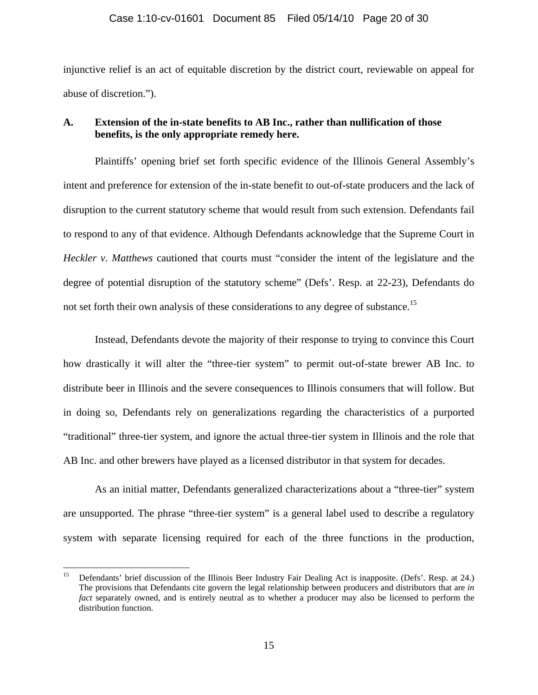injunctive relief is an act of equitable discretion by the district court, reviewable on appeal for abuse of discretion.").

### **A. Extension of the in-state benefits to AB Inc., rather than nullification of those benefits, is the only appropriate remedy here.**

Plaintiffs' opening brief set forth specific evidence of the Illinois General Assembly's intent and preference for extension of the in-state benefit to out-of-state producers and the lack of disruption to the current statutory scheme that would result from such extension. Defendants fail to respond to any of that evidence. Although Defendants acknowledge that the Supreme Court in *Heckler v. Matthews* cautioned that courts must "consider the intent of the legislature and the degree of potential disruption of the statutory scheme" (Defs'. Resp. at 22-23), Defendants do not set forth their own analysis of these considerations to any degree of substance.<sup>15</sup>

Instead, Defendants devote the majority of their response to trying to convince this Court how drastically it will alter the "three-tier system" to permit out-of-state brewer AB Inc. to distribute beer in Illinois and the severe consequences to Illinois consumers that will follow. But in doing so, Defendants rely on generalizations regarding the characteristics of a purported "traditional" three-tier system, and ignore the actual three-tier system in Illinois and the role that AB Inc. and other brewers have played as a licensed distributor in that system for decades.

As an initial matter, Defendants generalized characterizations about a "three-tier" system are unsupported. The phrase "three-tier system" is a general label used to describe a regulatory system with separate licensing required for each of the three functions in the production,

<sup>15</sup> Defendants' brief discussion of the Illinois Beer Industry Fair Dealing Act is inapposite. (Defs'. Resp. at 24.) The provisions that Defendants cite govern the legal relationship between producers and distributors that are *in fact* separately owned, and is entirely neutral as to whether a producer may also be licensed to perform the distribution function.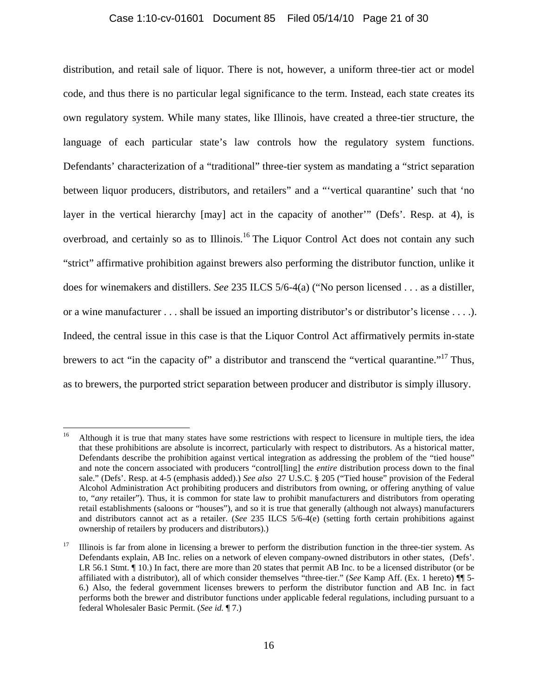#### Case 1:10-cv-01601 Document 85 Filed 05/14/10 Page 21 of 30

distribution, and retail sale of liquor. There is not, however, a uniform three-tier act or model code, and thus there is no particular legal significance to the term. Instead, each state creates its own regulatory system. While many states, like Illinois, have created a three-tier structure, the language of each particular state's law controls how the regulatory system functions. Defendants' characterization of a "traditional" three-tier system as mandating a "strict separation between liquor producers, distributors, and retailers" and a "'vertical quarantine' such that 'no layer in the vertical hierarchy [may] act in the capacity of another'" (Defs'. Resp. at 4), is overbroad, and certainly so as to Illinois.<sup>16</sup> The Liquor Control Act does not contain any such "strict" affirmative prohibition against brewers also performing the distributor function, unlike it does for winemakers and distillers. *See* 235 ILCS 5/6-4(a) ("No person licensed . . . as a distiller, or a wine manufacturer . . . shall be issued an importing distributor's or distributor's license . . . .). Indeed, the central issue in this case is that the Liquor Control Act affirmatively permits in-state brewers to act "in the capacity of" a distributor and transcend the "vertical quarantine."<sup>17</sup> Thus, as to brewers, the purported strict separation between producer and distributor is simply illusory.

1

<sup>&</sup>lt;sup>16</sup> Although it is true that many states have some restrictions with respect to licensure in multiple tiers, the idea that these prohibitions are absolute is incorrect, particularly with respect to distributors. As a historical matter, Defendants describe the prohibition against vertical integration as addressing the problem of the "tied house" and note the concern associated with producers "control[ling] the *entire* distribution process down to the final sale." (Defs'. Resp. at 4-5 (emphasis added).) *See also* 27 U.S.C. § 205 ("Tied house" provision of the Federal Alcohol Administration Act prohibiting producers and distributors from owning, or offering anything of value to, "*any* retailer"). Thus, it is common for state law to prohibit manufacturers and distributors from operating retail establishments (saloons or "houses"), and so it is true that generally (although not always) manufacturers and distributors cannot act as a retailer. (*See* 235 ILCS 5/6-4(e) (setting forth certain prohibitions against ownership of retailers by producers and distributors).)

<sup>17</sup> Illinois is far from alone in licensing a brewer to perform the distribution function in the three-tier system. As Defendants explain, AB Inc. relies on a network of eleven company-owned distributors in other states, (Defs'. LR 56.1 Stmt.  $\P$  10.) In fact, there are more than 20 states that permit AB Inc. to be a licensed distributor (or be affiliated with a distributor), all of which consider themselves "three-tier." (*See* Kamp Aff. (Ex. 1 hereto) ¶¶ 5- 6.) Also, the federal government licenses brewers to perform the distributor function and AB Inc. in fact performs both the brewer and distributor functions under applicable federal regulations, including pursuant to a federal Wholesaler Basic Permit. (*See id.* ¶ 7.)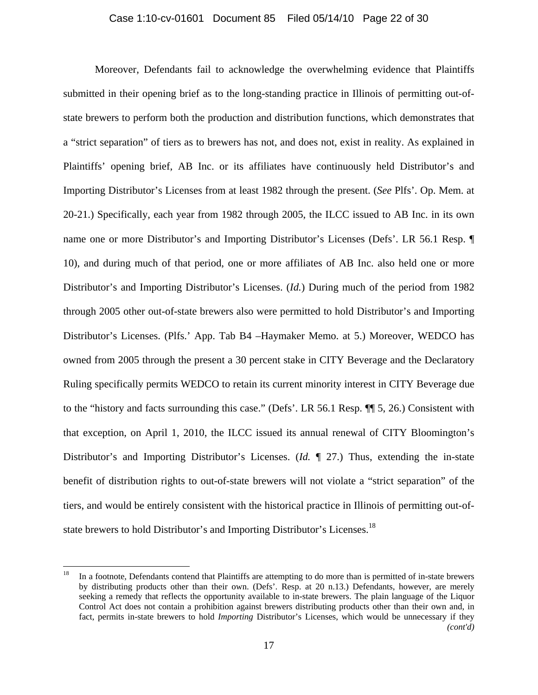#### Case 1:10-cv-01601 Document 85 Filed 05/14/10 Page 22 of 30

Moreover, Defendants fail to acknowledge the overwhelming evidence that Plaintiffs submitted in their opening brief as to the long-standing practice in Illinois of permitting out-ofstate brewers to perform both the production and distribution functions, which demonstrates that a "strict separation" of tiers as to brewers has not, and does not, exist in reality. As explained in Plaintiffs' opening brief, AB Inc. or its affiliates have continuously held Distributor's and Importing Distributor's Licenses from at least 1982 through the present. (*See* Plfs'. Op. Mem. at 20-21.) Specifically, each year from 1982 through 2005, the ILCC issued to AB Inc. in its own name one or more Distributor's and Importing Distributor's Licenses (Defs'. LR 56.1 Resp. ¶ 10), and during much of that period, one or more affiliates of AB Inc. also held one or more Distributor's and Importing Distributor's Licenses. (*Id.*) During much of the period from 1982 through 2005 other out-of-state brewers also were permitted to hold Distributor's and Importing Distributor's Licenses. (Plfs.' App. Tab B4 –Haymaker Memo. at 5.) Moreover, WEDCO has owned from 2005 through the present a 30 percent stake in CITY Beverage and the Declaratory Ruling specifically permits WEDCO to retain its current minority interest in CITY Beverage due to the "history and facts surrounding this case." (Defs'. LR 56.1 Resp. ¶¶ 5, 26.) Consistent with that exception, on April 1, 2010, the ILCC issued its annual renewal of CITY Bloomington's Distributor's and Importing Distributor's Licenses. (*Id.* ¶ 27.) Thus, extending the in-state benefit of distribution rights to out-of-state brewers will not violate a "strict separation" of the tiers, and would be entirely consistent with the historical practice in Illinois of permitting out-ofstate brewers to hold Distributor's and Importing Distributor's Licenses.<sup>18</sup>

1

<sup>18</sup> In a footnote, Defendants contend that Plaintiffs are attempting to do more than is permitted of in-state brewers by distributing products other than their own. (Defs'. Resp. at 20 n.13.) Defendants, however, are merely seeking a remedy that reflects the opportunity available to in-state brewers. The plain language of the Liquor Control Act does not contain a prohibition against brewers distributing products other than their own and, in fact, permits in-state brewers to hold *Importing* Distributor's Licenses, which would be unnecessary if they *(cont'd)*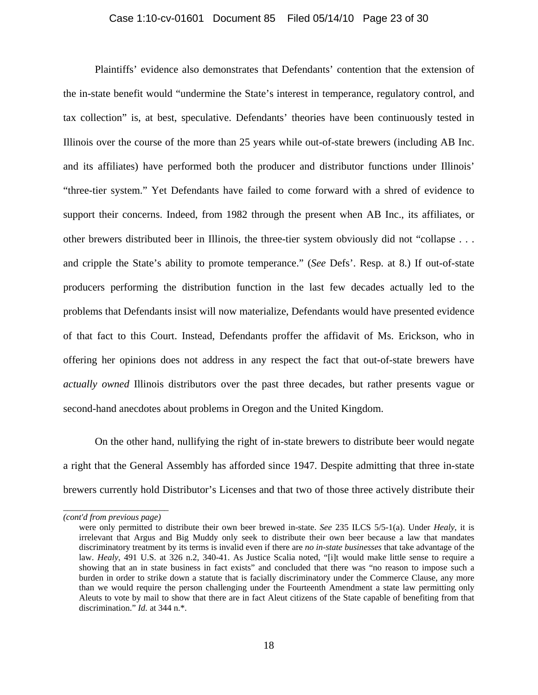#### Case 1:10-cv-01601 Document 85 Filed 05/14/10 Page 23 of 30

Plaintiffs' evidence also demonstrates that Defendants' contention that the extension of the in-state benefit would "undermine the State's interest in temperance, regulatory control, and tax collection" is, at best, speculative. Defendants' theories have been continuously tested in Illinois over the course of the more than 25 years while out-of-state brewers (including AB Inc. and its affiliates) have performed both the producer and distributor functions under Illinois' "three-tier system." Yet Defendants have failed to come forward with a shred of evidence to support their concerns. Indeed, from 1982 through the present when AB Inc., its affiliates, or other brewers distributed beer in Illinois, the three-tier system obviously did not "collapse . . . and cripple the State's ability to promote temperance." (*See* Defs'. Resp. at 8.) If out-of-state producers performing the distribution function in the last few decades actually led to the problems that Defendants insist will now materialize, Defendants would have presented evidence of that fact to this Court. Instead, Defendants proffer the affidavit of Ms. Erickson, who in offering her opinions does not address in any respect the fact that out-of-state brewers have *actually owned* Illinois distributors over the past three decades, but rather presents vague or second-hand anecdotes about problems in Oregon and the United Kingdom.

On the other hand, nullifying the right of in-state brewers to distribute beer would negate a right that the General Assembly has afforded since 1947. Despite admitting that three in-state brewers currently hold Distributor's Licenses and that two of those three actively distribute their

*\_\_\_\_\_\_\_\_\_\_\_\_\_\_\_\_\_\_\_\_\_\_\_\_ (cont'd from previous page)*

were only permitted to distribute their own beer brewed in-state. *See* 235 ILCS 5/5-1(a). Under *Healy*, it is irrelevant that Argus and Big Muddy only seek to distribute their own beer because a law that mandates discriminatory treatment by its terms is invalid even if there are *no in-state businesses* that take advantage of the law. *Healy*, 491 U.S. at 326 n.2, 340-41. As Justice Scalia noted, "[i]t would make little sense to require a showing that an in state business in fact exists" and concluded that there was "no reason to impose such a burden in order to strike down a statute that is facially discriminatory under the Commerce Clause, any more than we would require the person challenging under the Fourteenth Amendment a state law permitting only Aleuts to vote by mail to show that there are in fact Aleut citizens of the State capable of benefiting from that discrimination." *Id.* at 344 n.\*.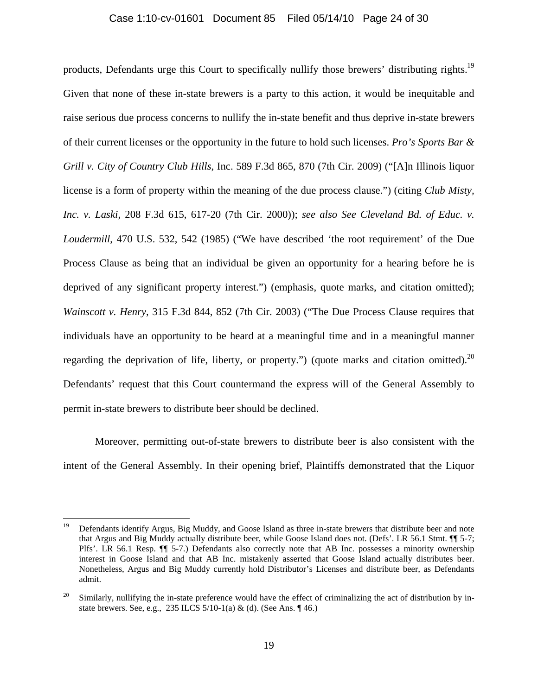#### Case 1:10-cv-01601 Document 85 Filed 05/14/10 Page 24 of 30

products, Defendants urge this Court to specifically nullify those brewers' distributing rights.<sup>19</sup> Given that none of these in-state brewers is a party to this action, it would be inequitable and raise serious due process concerns to nullify the in-state benefit and thus deprive in-state brewers of their current licenses or the opportunity in the future to hold such licenses. *Pro's Sports Bar & Grill v. City of Country Club Hills*, Inc. 589 F.3d 865, 870 (7th Cir. 2009) ("[A]n Illinois liquor license is a form of property within the meaning of the due process clause.") (citing *Club Misty, Inc. v. Laski*, 208 F.3d 615, 617-20 (7th Cir. 2000)); *see also See Cleveland Bd. of Educ. v. Loudermill*, 470 U.S. 532, 542 (1985) ("We have described 'the root requirement' of the Due Process Clause as being that an individual be given an opportunity for a hearing before he is deprived of any significant property interest.") (emphasis, quote marks, and citation omitted); *Wainscott v. Henry*, 315 F.3d 844, 852 (7th Cir. 2003) ("The Due Process Clause requires that individuals have an opportunity to be heard at a meaningful time and in a meaningful manner regarding the deprivation of life, liberty, or property.") (quote marks and citation omitted).<sup>20</sup> Defendants' request that this Court countermand the express will of the General Assembly to permit in-state brewers to distribute beer should be declined.

Moreover, permitting out-of-state brewers to distribute beer is also consistent with the intent of the General Assembly. In their opening brief, Plaintiffs demonstrated that the Liquor

1

<sup>19</sup> Defendants identify Argus, Big Muddy, and Goose Island as three in-state brewers that distribute beer and note that Argus and Big Muddy actually distribute beer, while Goose Island does not. (Defs'. LR 56.1 Stmt. ¶¶ 5-7; Plfs'. LR 56.1 Resp. ¶¶ 5-7.) Defendants also correctly note that AB Inc. possesses a minority ownership interest in Goose Island and that AB Inc. mistakenly asserted that Goose Island actually distributes beer. Nonetheless, Argus and Big Muddy currently hold Distributor's Licenses and distribute beer, as Defendants admit.

 $20$  Similarly, nullifying the in-state preference would have the effect of criminalizing the act of distribution by instate brewers. See, e.g., 235 ILCS 5/10-1(a) & (d). (See Ans. ¶ 46.)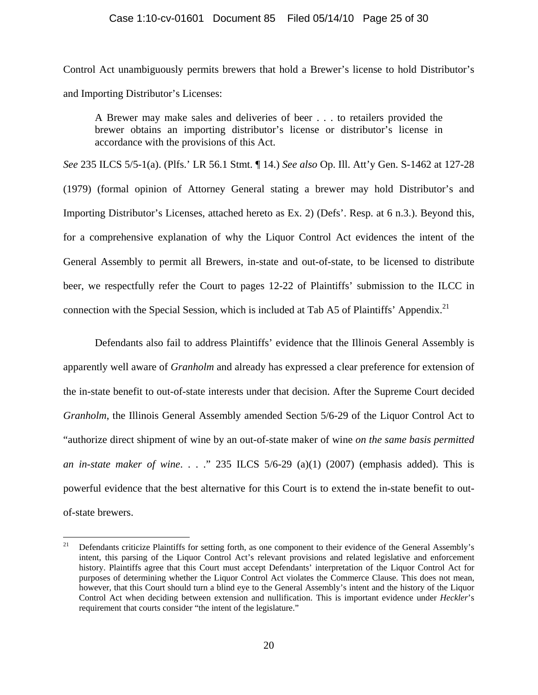Control Act unambiguously permits brewers that hold a Brewer's license to hold Distributor's and Importing Distributor's Licenses:

A Brewer may make sales and deliveries of beer . . . to retailers provided the brewer obtains an importing distributor's license or distributor's license in accordance with the provisions of this Act.

*See* 235 ILCS 5/5-1(a). (Plfs.' LR 56.1 Stmt. ¶ 14.) *See also* Op. Ill. Att'y Gen. S-1462 at 127-28 (1979) (formal opinion of Attorney General stating a brewer may hold Distributor's and Importing Distributor's Licenses, attached hereto as Ex. 2) (Defs'. Resp. at 6 n.3.). Beyond this, for a comprehensive explanation of why the Liquor Control Act evidences the intent of the General Assembly to permit all Brewers, in-state and out-of-state, to be licensed to distribute beer, we respectfully refer the Court to pages 12-22 of Plaintiffs' submission to the ILCC in connection with the Special Session, which is included at Tab A5 of Plaintiffs' Appendix.<sup>21</sup>

Defendants also fail to address Plaintiffs' evidence that the Illinois General Assembly is apparently well aware of *Granholm* and already has expressed a clear preference for extension of the in-state benefit to out-of-state interests under that decision. After the Supreme Court decided *Granholm*, the Illinois General Assembly amended Section 5/6-29 of the Liquor Control Act to "authorize direct shipment of wine by an out-of-state maker of wine *on the same basis permitted an in-state maker of wine*. . . ." 235 ILCS 5/6-29 (a)(1) (2007) (emphasis added). This is powerful evidence that the best alternative for this Court is to extend the in-state benefit to outof-state brewers.

<sup>21</sup> 21 Defendants criticize Plaintiffs for setting forth, as one component to their evidence of the General Assembly's intent, this parsing of the Liquor Control Act's relevant provisions and related legislative and enforcement history. Plaintiffs agree that this Court must accept Defendants' interpretation of the Liquor Control Act for purposes of determining whether the Liquor Control Act violates the Commerce Clause. This does not mean, however, that this Court should turn a blind eye to the General Assembly's intent and the history of the Liquor Control Act when deciding between extension and nullification. This is important evidence under *Heckler*'s requirement that courts consider "the intent of the legislature."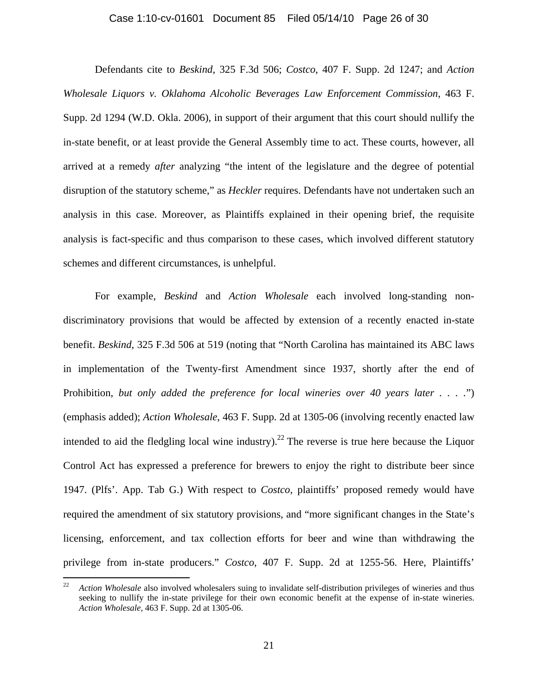#### Case 1:10-cv-01601 Document 85 Filed 05/14/10 Page 26 of 30

Defendants cite to *Beskind*, 325 F.3d 506; *Costco*, 407 F. Supp. 2d 1247; and *Action Wholesale Liquors v. Oklahoma Alcoholic Beverages Law Enforcement Commission*, 463 F. Supp. 2d 1294 (W.D. Okla. 2006), in support of their argument that this court should nullify the in-state benefit, or at least provide the General Assembly time to act. These courts, however, all arrived at a remedy *after* analyzing "the intent of the legislature and the degree of potential disruption of the statutory scheme," as *Heckler* requires. Defendants have not undertaken such an analysis in this case. Moreover, as Plaintiffs explained in their opening brief, the requisite analysis is fact-specific and thus comparison to these cases, which involved different statutory schemes and different circumstances, is unhelpful.

For example, *Beskind* and *Action Wholesale* each involved long-standing nondiscriminatory provisions that would be affected by extension of a recently enacted in-state benefit. *Beskind*, 325 F.3d 506 at 519 (noting that "North Carolina has maintained its ABC laws in implementation of the Twenty-first Amendment since 1937, shortly after the end of Prohibition, *but only added the preference for local wineries over 40 years later . . . .*") (emphasis added); *Action Wholesale*, 463 F. Supp. 2d at 1305-06 (involving recently enacted law intended to aid the fledgling local wine industry).<sup>22</sup> The reverse is true here because the Liquor Control Act has expressed a preference for brewers to enjoy the right to distribute beer since 1947. (Plfs'. App. Tab G.) With respect to *Costco*, plaintiffs' proposed remedy would have required the amendment of six statutory provisions, and "more significant changes in the State's licensing, enforcement, and tax collection efforts for beer and wine than withdrawing the privilege from in-state producers." *Costco*, 407 F. Supp. 2d at 1255-56. Here, Plaintiffs'

<sup>&</sup>lt;sup>22</sup> *Action Wholesale* also involved wholesalers suing to invalidate self-distribution privileges of wineries and thus seeking to nullify the in-state privilege for their own economic benefit at the expense of in-state wineries. *Action Wholesale*, 463 F. Supp. 2d at 1305-06.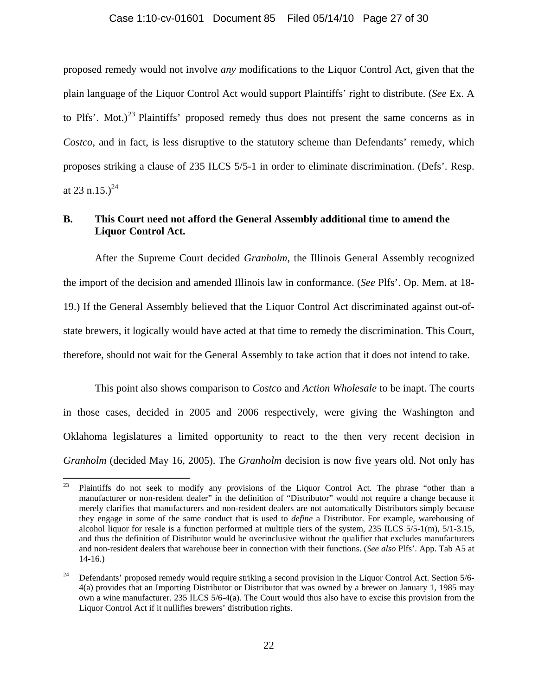#### Case 1:10-cv-01601 Document 85 Filed 05/14/10 Page 27 of 30

proposed remedy would not involve *any* modifications to the Liquor Control Act, given that the plain language of the Liquor Control Act would support Plaintiffs' right to distribute. (*See* Ex. A to Plfs'. Mot.)<sup>23</sup> Plaintiffs' proposed remedy thus does not present the same concerns as in *Costco*, and in fact, is less disruptive to the statutory scheme than Defendants' remedy, which proposes striking a clause of 235 ILCS 5/5-1 in order to eliminate discrimination. (Defs'. Resp. at 23 n.15.)<sup>24</sup>

### **B. This Court need not afford the General Assembly additional time to amend the Liquor Control Act.**

After the Supreme Court decided *Granholm*, the Illinois General Assembly recognized the import of the decision and amended Illinois law in conformance. (*See* Plfs'. Op. Mem. at 18- 19.) If the General Assembly believed that the Liquor Control Act discriminated against out-ofstate brewers, it logically would have acted at that time to remedy the discrimination. This Court, therefore, should not wait for the General Assembly to take action that it does not intend to take.

This point also shows comparison to *Costco* and *Action Wholesale* to be inapt. The courts in those cases, decided in 2005 and 2006 respectively, were giving the Washington and Oklahoma legislatures a limited opportunity to react to the then very recent decision in *Granholm* (decided May 16, 2005). The *Granholm* decision is now five years old. Not only has

<sup>23</sup> Plaintiffs do not seek to modify any provisions of the Liquor Control Act. The phrase "other than a manufacturer or non-resident dealer" in the definition of "Distributor" would not require a change because it merely clarifies that manufacturers and non-resident dealers are not automatically Distributors simply because they engage in some of the same conduct that is used to *define* a Distributor. For example, warehousing of alcohol liquor for resale is a function performed at multiple tiers of the system, 235 ILCS 5/5-1(m), 5/1-3.15, and thus the definition of Distributor would be overinclusive without the qualifier that excludes manufacturers and non-resident dealers that warehouse beer in connection with their functions. (*See also* Plfs'. App. Tab A5 at 14-16.)

<sup>&</sup>lt;sup>24</sup> Defendants' proposed remedy would require striking a second provision in the Liquor Control Act. Section  $5/6$ -4(a) provides that an Importing Distributor or Distributor that was owned by a brewer on January 1, 1985 may own a wine manufacturer. 235 ILCS 5/6-4(a). The Court would thus also have to excise this provision from the Liquor Control Act if it nullifies brewers' distribution rights.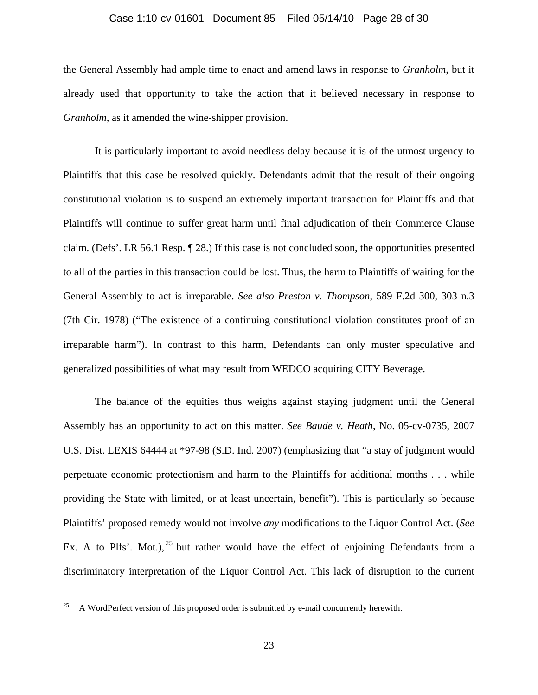#### Case 1:10-cv-01601 Document 85 Filed 05/14/10 Page 28 of 30

the General Assembly had ample time to enact and amend laws in response to *Granholm*, but it already used that opportunity to take the action that it believed necessary in response to *Granholm*, as it amended the wine-shipper provision.

It is particularly important to avoid needless delay because it is of the utmost urgency to Plaintiffs that this case be resolved quickly. Defendants admit that the result of their ongoing constitutional violation is to suspend an extremely important transaction for Plaintiffs and that Plaintiffs will continue to suffer great harm until final adjudication of their Commerce Clause claim. (Defs'. LR 56.1 Resp. ¶ 28.) If this case is not concluded soon, the opportunities presented to all of the parties in this transaction could be lost. Thus, the harm to Plaintiffs of waiting for the General Assembly to act is irreparable. *See also Preston v. Thompson*, 589 F.2d 300, 303 n.3 (7th Cir. 1978) ("The existence of a continuing constitutional violation constitutes proof of an irreparable harm"). In contrast to this harm, Defendants can only muster speculative and generalized possibilities of what may result from WEDCO acquiring CITY Beverage.

The balance of the equities thus weighs against staying judgment until the General Assembly has an opportunity to act on this matter. *See Baude v. Heath*, No. 05-cv-0735, 2007 U.S. Dist. LEXIS 64444 at \*97-98 (S.D. Ind. 2007) (emphasizing that "a stay of judgment would perpetuate economic protectionism and harm to the Plaintiffs for additional months . . . while providing the State with limited, or at least uncertain, benefit"). This is particularly so because Plaintiffs' proposed remedy would not involve *any* modifications to the Liquor Control Act. (*See* Ex. A to Plfs'. Mot.),  $25$  but rather would have the effect of enjoining Defendants from a discriminatory interpretation of the Liquor Control Act. This lack of disruption to the current

 $25\,$ 25 A WordPerfect version of this proposed order is submitted by e-mail concurrently herewith.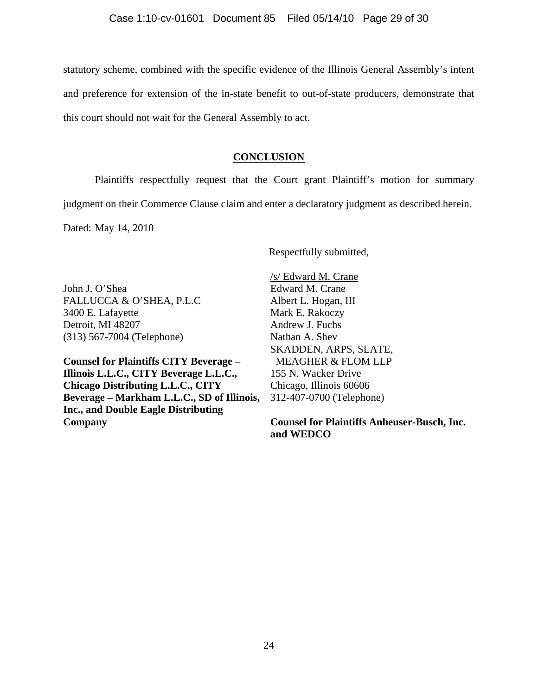statutory scheme, combined with the specific evidence of the Illinois General Assembly's intent and preference for extension of the in-state benefit to out-of-state producers, demonstrate that this court should not wait for the General Assembly to act.

### **CONCLUSION**

Plaintiffs respectfully request that the Court grant Plaintiff's motion for summary judgment on their Commerce Clause claim and enter a declaratory judgment as described herein.

Dated: May 14, 2010

Respectfully submitted,

John J. O'Shea FALLUCCA & O'SHEA, P.L.C 3400 E. Lafayette Detroit, MI 48207 (313) 567-7004 (Telephone)

**Counsel for Plaintiffs CITY Beverage – Illinois L.L.C., CITY Beverage L.L.C., Chicago Distributing L.L.C., CITY Beverage – Markham L.L.C., SD of Illinois, Inc., and Double Eagle Distributing Company** 

/s/ Edward M. Crane Edward M. Crane Albert L. Hogan, III Mark E. Rakoczy Andrew J. Fuchs Nathan A. Shev SKADDEN, ARPS, SLATE, MEAGHER & FLOM LLP 155 N. Wacker Drive Chicago, Illinois 60606 312-407-0700 (Telephone)

**Counsel for Plaintiffs Anheuser-Busch, Inc. and WEDCO**